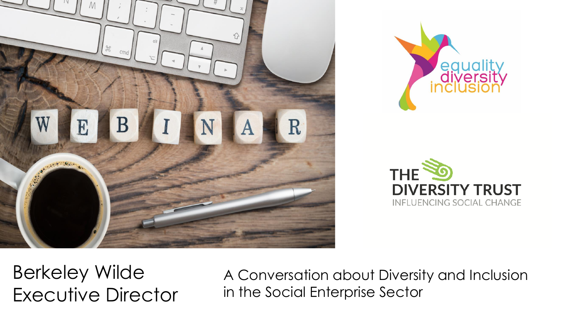





Berkeley Wilde Executive Director

A Conversation about Diversity and Inclusion in the Social Enterprise Sector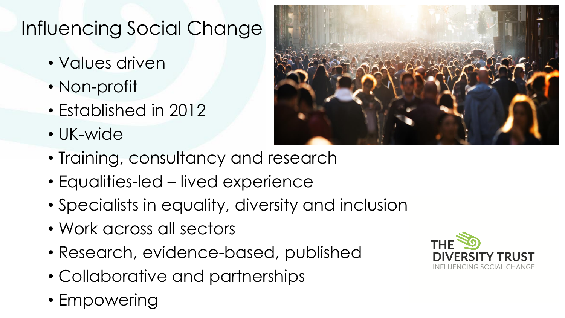### Influencing Social Change

- Values driven
- Non-profit
- Established in 2012
- UK-wide



- Training, consultancy and research
- Equalities-led lived experience
- Specialists in equality, diversity and inclusion
- Work across all sectors
- Research, evidence-based, published
- Collaborative and partnerships
- Empowering

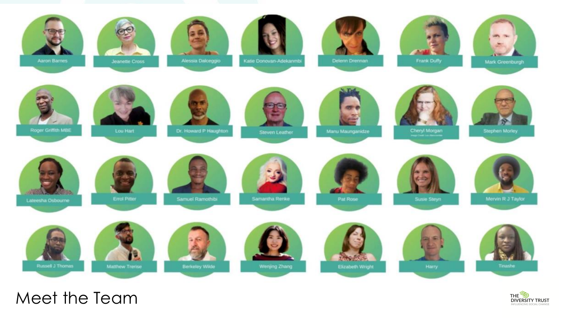

Meet the Team

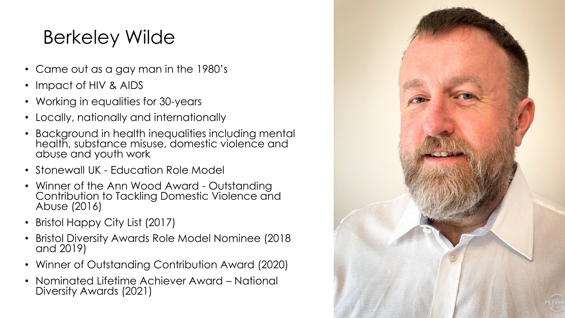# Berkeley Wilde

- Came out as a gay man in the 1980's
- Impact of HIV & AIDS
- Working in equalities for 30-years
- Locally, nationally and internationally
- Background in health inequalities including mental health, substance misuse, domestic violence and abuse and youth work
- Stonewall UK Education Role Model
- Winner of the Ann Wood Award Outstanding Contribution to Tackling Domestic Violence and Abuse (2016)
- Bristol Happy City List (2017)
- Bristol Diversity Awards Role Model Nominee (2018 and 2019)
- Winner of Outstanding Contribution Award (2020)
- Nominated Lifetime Achiever Award National Diversity Awards (2021)

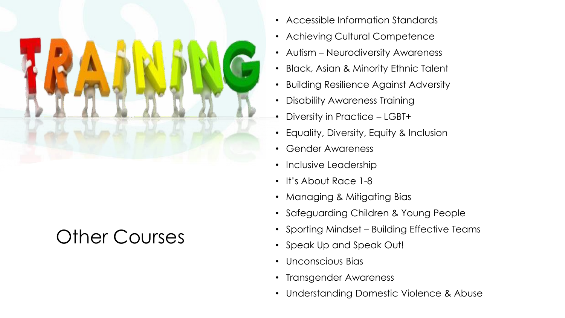

## Other Courses

- Accessible Information Standards
- Achieving Cultural Competence
- Autism Neurodiversity Awareness
- Black, Asian & Minority Ethnic Talent
- Building Resilience Against Adversity
- Disability Awareness Training
- Diversity in Practice LGBT+
- Equality, Diversity, Equity & Inclusion
- Gender Awareness
- Inclusive Leadership
- It's About Race 1-8
- Managing & Mitigating Bias
- Safeguarding Children & Young People
- Sporting Mindset Building Effective Teams
- Speak Up and Speak Out!
- Unconscious Bias
- Transgender Awareness
- Understanding Domestic Violence & Abuse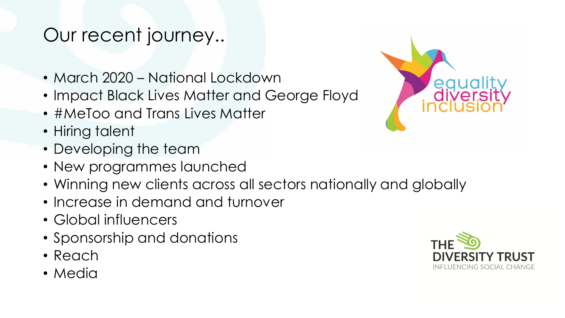#### Our recent journey..

- March 2020 National Lockdown
- Impact Black Lives Matter and George Floyd
- #MeToo and Trans Lives Matter
- Hiring talent
- Developing the team
- New programmes launched
- Winning new clients across all sectors nationally and globally
- Increase in demand and turnover
- Global influencers
- Sponsorship and donations
- Reach
- Media



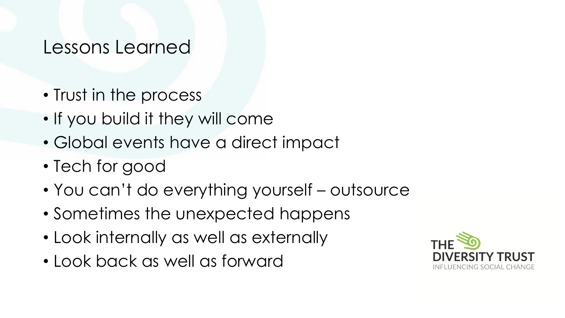#### Lessons Learned

- Trust in the process
- If you build it they will come
- Global events have a direct impact
- Tech for good
- You can't do everything yourself outsource
- Sometimes the unexpected happens
- Look internally as well as externally
- Look back as well as forward